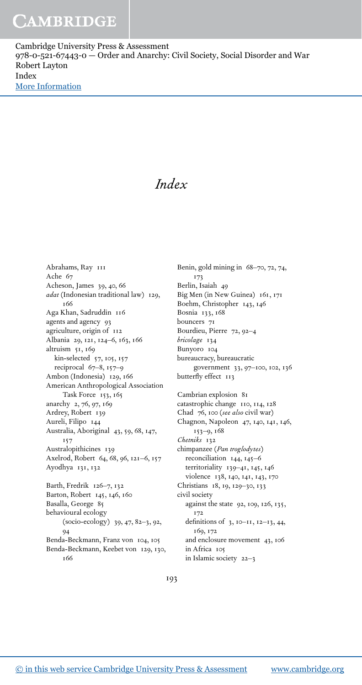Cambridge University Press & Assessment 978-0-521-67443-0 — Order and Anarchy: Civil Society, Social Disorder and War Robert Layton Index [More Information](www.cambridge.org/9780521674430)

## *Index*

Abrahams, Ray 111 Ache 67 Acheson, James 39, 40, 66 *adat* (Indonesian traditional law) 129, 166 Aga Khan, Sadruddin 116 agents and agency 93 agriculture, origin of 112 Albania 29, 121, 124–6, 163, 166 altruism 51, 169 kin-selected 57, 105, 157 reciprocal 67–8, 157–9 Ambon (Indonesia) 129, 166 American Anthropological Association Task Force 153, 165 anarchy 2, 76, 97, 169 Ardrey, Robert 139 Aureli, Filipo 144 Australia, Aboriginal 43, 59, 68, 147, 157 Australopithicines 139 Axelrod, Robert 64, 68, 96, 121–6, 157 Ayodhya 131, 132 Barth, Fredrik 126–7, 132 Barton, Robert 145, 146, 160 Basalla, George 85 behavioural ecology (socio-ecology) 39, 47, 82–3, 92,  $Q<sub>4</sub>$ Benda-Beckmann, Franz von 104, 105

Benda-Beckmann, Keebet von 129, 130, 166

Benin, gold mining in 68–70, 72, 74, 173 Berlin, Isaiah 49 Big Men (in New Guinea) 161, 171 Boehm, Christopher 143, 146 Bosnia 133, 168 bouncers 71 Bourdieu, Pierre 72, 92–4 *bricolage* 134 Bunyoro 104 bureaucracy, bureaucratic government 33, 97–100, 102, 136 butterfly effect 113 Cambrian explosion 81 catastrophic change 110, 114, 128 Chad 76, 100 (*see also* civil war) Chagnon, Napoleon 47, 140, 141, 146, 153–9, 168 *Chetniks* 132 chimpanzee (*Pan troglodytes*) reconciliation 144, 145–6 territoriality 139–41, 145, 146 violence 138, 140, 141, 143, 170 Christians 18, 19, 129–30, 133 civil society against the state 92, 109, 126, 135, 172 definitions of 3, 10–11, 12–13, 44, 169, 172 and enclosure movement 43, 106 in Africa 105 in Islamic society 22–3

193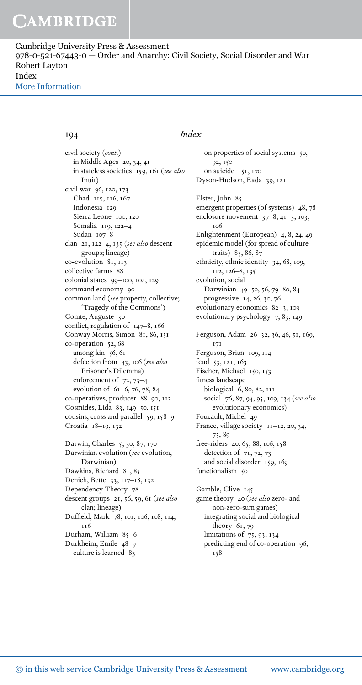Cambridge University Press & Assessment 978-0-521-67443-0 — Order and Anarchy: Civil Society, Social Disorder and War Robert Layton Index [More Information](www.cambridge.org/9780521674430)

civil society (*cont.*) in Middle Ages 20, 34, 41 in stateless societies 159, 161 (*see also* Inuit) civil war 96, 120, 173 Chad 115, 116, 167 Indonesia 129 Sierra Leone 100, 120 Somalia 119, 122–4 Sudan 107–8 clan 21, 122–4, 135 (*see also* descent groups; lineage) co-evolution 81, 113 collective farms 88 colonial states 99–100, 104, 129 command economy 90 common land (*see* property, collective; 'Tragedy of the Commons') Comte, Auguste 30 conflict, regulation of 147–8, 166 Conway Morris, Simon 81, 86, 151 co-operation 52, 68 among kin 56, 61 defection from 43, 106 (*see also* Prisoner's Dilemma) enforcement of 72, 73–4 evolution of 61–6, 76, 78, 84 co-operatives, producer 88–90, 112 Cosmides, Lida 83, 149–50, 151 cousins, cross and parallel 59, 158-9 Croatia 18–19, 132 Darwin, Charles 5, 30, 87, 170 Darwinian evolution (*see* evolution, Darwinian) Dawkins, Richard 81, 85 Denich, Bette 33, 117–18, 132 Dependency Theory 78 descent groups 21, 56, 59, 61 (*see also* clan; lineage) Duffield, Mark 78, 101, 106, 108, 114, 116 Durham, William 85–6 Durkheim, Emile 48–9 culture is learned 83

## 194 *Index*

on properties of social systems 50, 92, 150 on suicide 151, 170 Dyson-Hudson, Rada 39, 121 Elster, John 85 emergent properties (of systems) 48, 78 enclosure movement 37–8, 41–3, 103, 106 Enlightenment (European) 4, 8, 24, 49 epidemic model (for spread of culture traits) 85, 86, 87 ethnicity, ethnic identity 34, 68, 109, 112, 126–8, 135 evolution, social Darwinian 49–50, 56, 79–80, 84 progressive 14, 26, 30, 76 evolutionary economics 82–3, 109 evolutionary psychology 7, 83, 149 Ferguson, Adam 26–32, 36, 46, 51, 169, 171 Ferguson, Brian 109, 114 feud 53, 121, 163 Fischer, Michael 150, 153 fitness landscape biological 6, 80, 82, 111 social 76, 87, 94, 95, 109, 134 (*see also* evolutionary economics) Foucault, Michel 49 France, village society 11-12, 20, 34, 73, 89 free-riders 40, 65, 88, 106, 158 detection of  $71, 72, 73$ and social disorder 159, 169 functionalism 50 Gamble, Clive 145 game theory 40 (*see also* zero- and non-zero-sum games) integrating social and biological theory 61, 79 limitations of 75, 93, 134

predicting end of co-operation 96,

158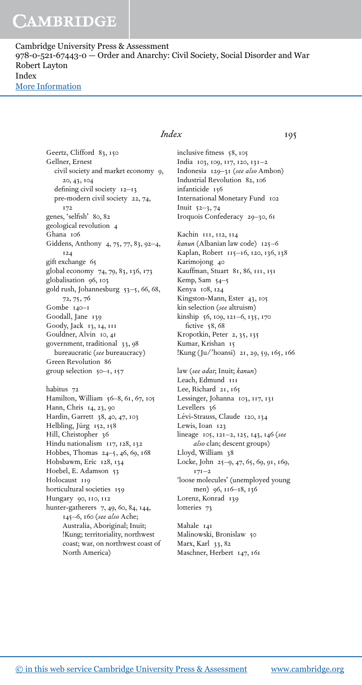## **CAMBRIDGE**

Cambridge University Press & Assessment 978-0-521-67443-0 — Order and Anarchy: Civil Society, Social Disorder and War Robert Layton Index [More Information](www.cambridge.org/9780521674430)

> Geertz, Clifford 83, 150 Gellner, Ernest civil society and market economy 9, 20, 43, 104 defining civil society 12–13 pre-modern civil society 22, 74, 172 genes, 'selfish' 80, 82 geological revolution 4 Ghana 106 Giddens, Anthony 4, 75, 77, 83, 92–4, 124 gift exchange 65 global economy 74, 79, 83, 136, 173 globalisation 96, 103 gold rush, Johannesburg 53–5, 66, 68, 72, 75, 76 Gombe 140–1 Goodall, Jane 139 Goody, Jack 13, 14, 111 Gouldner, Alvin 10, 41 government, traditional 33, 98 bureaucratic (*see* bureaucracy) Green Revolution 86 group selection 50–1, 157 habitus 72 Hamilton, William 56–8, 61, 67, 105 Hann, Chris 14, 23, 90 Hardin, Garrett 38, 40, 47, 103 Helbling, Jürg 152, 158 Hill, Christopher 36 Hindu nationalism 117, 128, 132 Hobbes, Thomas 24–5, 46, 69, 168 Hobsbawm, Eric 128, 134 Hoebel, E. Adamson 53 Holocaust 119 horticultural societies 159 Hungary 90, 110, 112 hunter-gatherers 7, 49, 60, 84, 144, 145–6, 160 (*see also* Ache; Australia, Aboriginal; Inuit; !Kung; territoriality, northwest coast; war, on northwest coast of

> > North America)

## *Index* 195

inclusive fitness 58, 105 India 103, 109, 117, 120, 131–2 Indonesia 129–31 (*see also* Ambon) Industrial Revolution 82, 106 infanticide 156 International Monetary Fund 102 Inuit 52–3, 74 Iroquois Confederacy 29–30, 61 Kachin 111, 112, 114 *kanun* (Albanian law code) 125–6 Kaplan, Robert 115–16, 120, 136, 138 Karimojong 40 Kauffman, Stuart 81, 86, 111, 151 Kemp, Sam 54–5 Kenya 108, 124 Kingston-Mann, Ester 43, 105 kin selection (*see* altruism) kinship 56, 109, 121–6, 135, 170 fictive 58, 68 Kropotkin, Peter 2, 35, 135 Kumar, Krishan 15 !Kung (Ju/'hoansi) 21, 29, 59, 165, 166 law (*see adat*; Inuit; *kanun*) Leach, Edmund 111 Lee, Richard 21, 165 Lessinger, Johanna 103, 117, 131 Levellers 36 Lévi-Strauss, Claude 120, 134 Lewis, Ioan 123 lineage 105, 121–2, 125, 143, 146 (*see also* clan; descent groups) Lloyd, William 38 Locke, John 25–9, 47, 65, 69, 91, 169, 171–2 'loose molecules' (unemployed young men) 96, 116–18, 136 Lorenz, Konrad 139 lotteries 73

Mahale 141 Malinowski, Bronislaw 50 Marx, Karl 33, 82 Maschner, Herbert 147, 161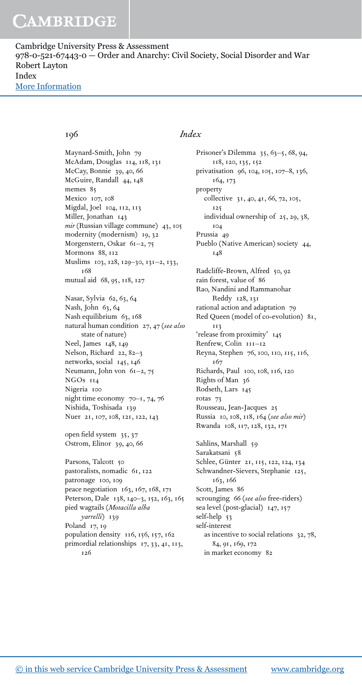# **CAMBRIDGE**

Cambridge University Press & Assessment 978-0-521-67443-0 — Order and Anarchy: Civil Society, Social Disorder and War Robert Layton Index [More Information](www.cambridge.org/9780521674430)

Maynard-Smith, John 79 McAdam, Douglas 114, 118, 131 McCay, Bonnie 39, 40, 66 McGuire, Randall 44, 148 memes 85 Mexico 107, 108 Migdal, Joel 104, 112, 113 Miller, Jonathan 143 *mir* (Russian village commune) 43, 105 modernity (modernism) 19, 32 Morgenstern, Oskar 61–2, 75 Mormons 88, 112 Muslims 103, 128, 129–30, 131–2, 133, 168 mutual aid 68, 95, 118, 127 Nasar, Sylvia 62, 63, 64 Nash, John 63, 64 Nash equilibrium 63, 168 natural human condition 27, 47 (*see also* state of nature) Neel, James 148, 149 Nelson, Richard 22, 82–3 networks, social 145, 146 Neumann, John von 61–2, 75 NGOs 114 Nigeria 100 night time economy 70–1, 74, 76 Nishida, Toshisada 139 Nuer 21, 107, 108, 121, 122, 143 open field system 35, 37 Ostrom, Elinor 39, 40, 66 Parsons, Talcott 50 pastoralists, nomadic 61, 122 patronage 100, 109 peace negotiation 163, 167, 168, 171 Peterson, Dale 138, 140-3, 152, 163, 165 pied wagtails (*Motacilla alba yarrelli*) 139 Poland 17, 19 population density 116, 156, 157, 162 primordial relationships 17, 33, 41, 113,

### 196 *Index*

Prisoner's Dilemma 35, 63–5, 68, 94, 118, 120, 135, 152 privatisation 96, 104, 105, 107–8, 136, 164, 173 property collective 31, 40, 41, 66, 72, 105, 125 individual ownership of 25, 29, 38, 104 Prussia 49 Pueblo (Native American) society 44, 148 Radcliffe-Brown, Alfred 50, 92 rain forest, value of 86 Rao, Nandini and Rammanohar Reddy 128, 131 rational action and adaptation 79 Red Queen (model of co-evolution) 81, 113 'release from proximity' 145 Renfrew, Colin  $111-12$ Reyna, Stephen 76, 100, 110, 115, 116, 167 Richards, Paul 100, 108, 116, 120 Rights of Man 36 Rodseth, Lars 145 rotas 73 Rousseau, Jean-Jacques 25 Russia 10, 108, 118, 164 (*see also mir*) Rwanda 108, 117, 128, 132, 171 Sahlins, Marshall 59 Sarakatsani 58 Schlee, Günter 21, 115, 122, 124, 134 Schwandner-Sievers, Stephanie 125, 163, 166 Scott, James 86 scrounging 66 (*see also* free-riders) sea level (post-glacial) 147, 157 self-help 53 self-interest as incentive to social relations 32, 78, 84, 91, 169, 172 in market economy 82

126